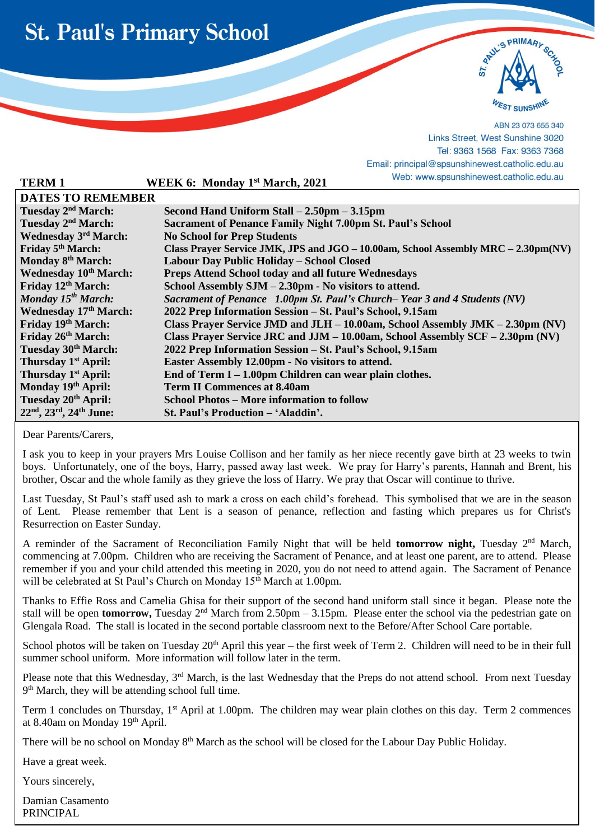



ABN 23 073 655 340 Links Street, West Sunshine 3020 Tel: 9363 1568 Fax: 9363 7368 Email: principal@spsunshinewest.catholic.edu.au

| <b>TERM1</b>                    | WEEK 6: Monday 1 <sup>st</sup> March, 2021                                        | vved: www.spsunshinewest.catholic.edu.au |
|---------------------------------|-----------------------------------------------------------------------------------|------------------------------------------|
| <b>DATES TO REMEMBER</b>        |                                                                                   |                                          |
| Tuesday 2 <sup>nd</sup> March:  | Second Hand Uniform Stall – 2.50pm – 3.15pm                                       |                                          |
| Tuesday 2 <sup>nd</sup> March:  | <b>Sacrament of Penance Family Night 7.00pm St. Paul's School</b>                 |                                          |
| <b>Wednesday 3rd March:</b>     | <b>No School for Prep Students</b>                                                |                                          |
| Friday 5 <sup>th</sup> March:   | Class Prayer Service JMK, JPS and JGO - 10.00am, School Assembly MRC - 2.30pm(NV) |                                          |
| Monday 8th March:               | Labour Day Public Holiday - School Closed                                         |                                          |
| <b>Wednesday 10th March:</b>    | Preps Attend School today and all future Wednesdays                               |                                          |
| Friday 12 <sup>th</sup> March:  | School Assembly $SIM - 2.30pm$ - No visitors to attend.                           |                                          |
| Monday 15 <sup>th</sup> March:  | Sacrament of Penance 1.00pm St. Paul's Church– Year 3 and 4 Students (NV)         |                                          |
| <b>Wednesday 17th March:</b>    | 2022 Prep Information Session - St. Paul's School, 9.15am                         |                                          |
| Friday 19th March:              | Class Prayer Service JMD and JLH – 10.00am, School Assembly JMK – 2.30pm (NV)     |                                          |
| Friday 26th March:              | Class Prayer Service JRC and JJM $-10.00$ am, School Assembly SCF $-2.30$ pm (NV) |                                          |
| Tuesday 30th March:             | 2022 Prep Information Session - St. Paul's School, 9.15am                         |                                          |
| Thursday 1 <sup>st</sup> April: | Easter Assembly 12.00pm - No visitors to attend.                                  |                                          |
| Thursday 1 <sup>st</sup> April: | End of Term $I - 1.00$ pm Children can wear plain clothes.                        |                                          |
| Monday 19th April:              | <b>Term II Commences at 8.40am</b>                                                |                                          |
| Tuesday 20 <sup>th</sup> April: | <b>School Photos – More information to follow</b>                                 |                                          |
| $22nd, 23rd, 24th June:$        | St. Paul's Production – 'Aladdin'.                                                |                                          |

Dear Parents/Carers,

l

I ask you to keep in your prayers Mrs Louise Collison and her family as her niece recently gave birth at 23 weeks to twin boys. Unfortunately, one of the boys, Harry, passed away last week. We pray for Harry's parents, Hannah and Brent, his brother, Oscar and the whole family as they grieve the loss of Harry. We pray that Oscar will continue to thrive.

Last Tuesday, St Paul's staff used ash to mark a cross on each child's forehead. This symbolised that we are in the season of Lent.Please remember that Lent is a season of penance, reflection and fasting which prepares us for Christ's Resurrection on Easter Sunday.

A reminder of the Sacrament of Reconciliation Family Night that will be held **tomorrow night,** Tuesday 2nd March, commencing at 7.00pm. Children who are receiving the Sacrament of Penance, and at least one parent, are to attend. Please remember if you and your child attended this meeting in 2020, you do not need to attend again. The Sacrament of Penance will be celebrated at St Paul's Church on Monday 15<sup>th</sup> March at 1.00pm.

Thanks to Effie Ross and Camelia Ghisa for their support of the second hand uniform stall since it began. Please note the stall will be open **tomorrow**, Tuesday 2<sup>nd</sup> March from 2.50pm – 3.15pm. Please enter the school via the pedestrian gate on Glengala Road. The stall is located in the second portable classroom next to the Before/After School Care portable.

School photos will be taken on Tuesday  $20<sup>th</sup>$  April this year – the first week of Term 2. Children will need to be in their full summer school uniform. More information will follow later in the term.

Please note that this Wednesday, 3<sup>rd</sup> March, is the last Wednesday that the Preps do not attend school. From next Tuesday 9<sup>th</sup> March, they will be attending school full time.

Term 1 concludes on Thursday, 1<sup>st</sup> April at 1.00pm. The children may wear plain clothes on this day. Term 2 commences at 8.40am on Monday 19th April.

There will be no school on Monday 8th March as the school will be closed for the Labour Day Public Holiday.

Have a great week.

Yours sincerely,

Damian Casamento PRINCIPAL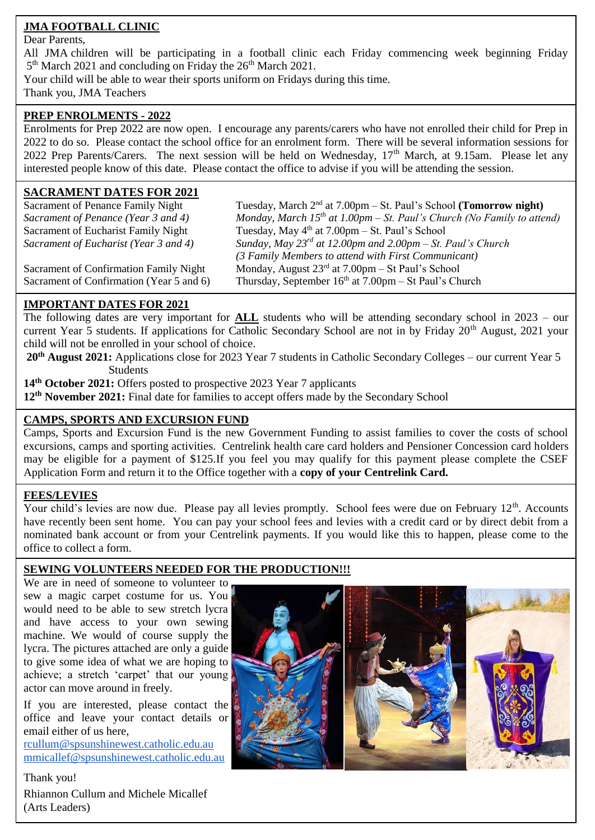# **JMA FOOTBALL CLINIC**

#### Dear Parents,

All JMA children will be participating in a football clinic each Friday commencing week beginning Friday 5<sup>th</sup> March 2021 and concluding on Friday the 26<sup>th</sup> March 2021.

Your child will be able to wear their sports uniform on Fridays during this time.

Thank you, JMA Teachers

## **PREP ENROLMENTS - 2022**

Enrolments for Prep 2022 are now open. I encourage any parents/carers who have not enrolled their child for Prep in 2022 to do so. Please contact the school office for an enrolment form. There will be several information sessions for 2022 Prep Parents/Carers. The next session will be held on Wednesday, 17<sup>th</sup> March, at 9.15am. Please let any interested people know of this date. Please contact the office to advise if you will be attending the session.

# **SACRAMENT DATES FOR 2021**

Sacrament of Penance Family Night Tuesday, March 2nd at 7.00pm – St. Paul's School **(Tomorrow night)** *Sacrament of Penance (Year 3 and 4) Monday, March 15th at 1.00pm – St. Paul's Church (No Family to attend)* Sacrament of Eucharist Family Night Tuesday, May 4<sup>th</sup> at 7.00pm – St. Paul's School *Sacrament of Eucharist (Year 3 and 4) Sunday, May 23rd at 12.00pm and 2.00pm – St. Paul's Church (3 Family Members to attend with First Communicant)* Sacrament of Confirmation Family Night Monday, August  $23<sup>rd</sup>$  at 7.00pm – St Paul's School Sacrament of Confirmation (Year 5 and 6) Thursday, September  $16<sup>th</sup>$  at  $7.00$ pm – St Paul's Church

# **IMPORTANT DATES FOR 2021**

The following dates are very important for **ALL** students who will be attending secondary school in 2023 – our current Year 5 students. If applications for Catholic Secondary School are not in by Friday 20<sup>th</sup> August, 2021 your child will not be enrolled in your school of choice.

**20th August 2021:** Applications close for 2023 Year 7 students in Catholic Secondary Colleges – our current Year 5 **Students** 

**14th October 2021:** Offers posted to prospective 2023 Year 7 applicants

**12th November 2021:** Final date for families to accept offers made by the Secondary School

# **CAMPS, SPORTS AND EXCURSION FUND**

 Application Form and return it to the Office together with a **copy of your Centrelink Card.** Camps, Sports and Excursion Fund is the new Government Funding to assist families to cover the costs of school excursions, camps and sporting activities. Centrelink health care card holders and Pensioner Concession card holders may be eligible for a payment of \$125.If you feel you may qualify for this payment please complete the CSEF

## **FEES/LEVIES**

Your child's levies are now due. Please pay all levies promptly. School fees were due on February 12<sup>th</sup>. Accounts have recently been sent home. You can pay your school fees and levies with a credit card or by direct debit from a nominated bank account or from your Centrelink payments. If you would like this to happen, please come to the office to collect a form.

## **SEWING VOLUNTEERS NEEDED FOR THE PRODUCTION!!!**

We are in need of someone to volunteer to sew a magic carpet costume for us. You would need to be able to sew stretch lycra and have access to your own sewing machine. We would of course supply the lycra. The pictures attached are only a guide to give some idea of what we are hoping to achieve; a stretch 'carpet' that our young actor can move around in freely.

If you are interested, please contact the office and leave your contact details or email either of us here,

[rcullum@spsunshinewest.catholic.edu.au](mailto:rcullum@spsunshinewest.catholic.edu.au) [mmicallef@spsunshinewest.catholic.edu.au](mailto:mmicallef@spsunshinewest.catholic.edu.au)

Thank you! Rhiannon Cullum and Michele Micallef (Arts Leaders)